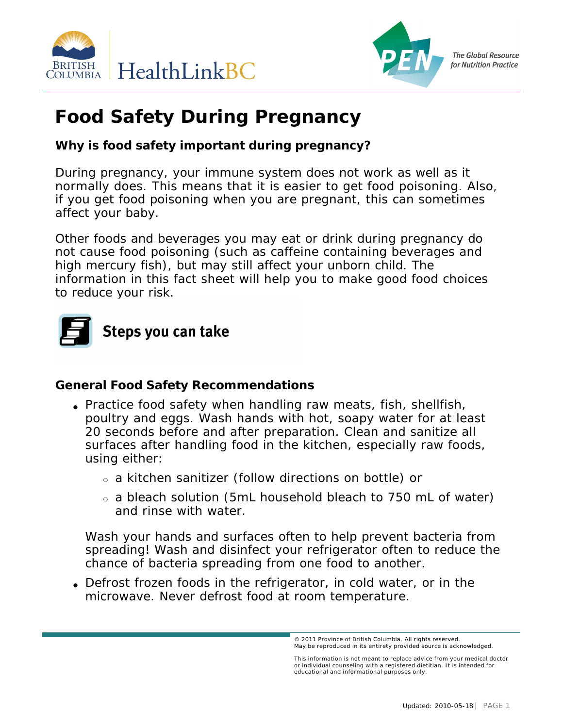



# **Food Safety During Pregnancy**

**Why is food safety important during pregnancy?**

During pregnancy, your immune system does not work as well as it normally does. This means that it is easier to get food poisoning. Also, if you get food poisoning when you are pregnant, this can sometimes affect your baby.

Other foods and beverages you may eat or drink during pregnancy do not cause food poisoning (such as caffeine containing beverages and high mercury fish), but may still affect your unborn child. The information in this fact sheet will help you to make good food choices to reduce your risk.



**General Food Safety Recommendations**

- Practice food safety when handling raw meats, fish, shellfish, poultry and eggs. Wash hands with hot, soapy water for at least 20 seconds before and after preparation. Clean and sanitize all surfaces after handling food in the kitchen, especially raw foods, using either:
	- ❍ a kitchen sanitizer (follow directions on bottle) or
	- ❍ a bleach solution (5mL household bleach to 750 mL of water) and rinse with water.

Wash your hands and surfaces often to help prevent bacteria from spreading! Wash and disinfect your refrigerator often to reduce the chance of bacteria spreading from one food to another.

• Defrost frozen foods in the refrigerator, in cold water, or in the microwave. Never defrost food at room temperature.

<sup>© 2011</sup> Province of British Columbia. All rights reserved. May be reproduced in its entirety provided source is acknowledged.<br>.

This information is not meant to replace advice from your medical doctor and individual counseling with a registered dietitian. It is intended for educational and informational purposes only.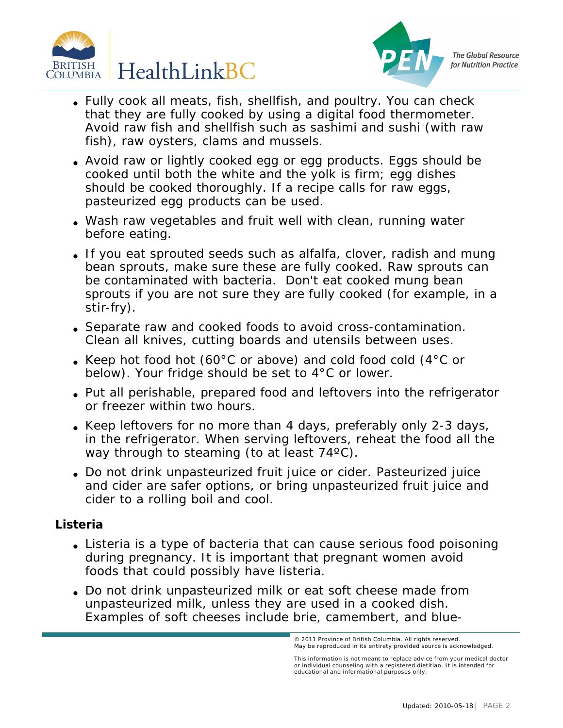



- Fully cook all meats, fish, shellfish, and poultry. You can check that they are fully cooked by using a digital food thermometer. Avoid raw fish and shellfish such as sashimi and sushi (with raw fish), raw oysters, clams and mussels.
- Avoid raw or lightly cooked egg or egg products. Eggs should be cooked until both the white and the yolk is firm; egg dishes should be cooked thoroughly. If a recipe calls for raw eggs, pasteurized egg products can be used.
- Wash raw vegetables and fruit well with clean, running water before eating.
- If you eat sprouted seeds such as alfalfa, clover, radish and mung bean sprouts, make sure these are fully cooked. Raw sprouts can be contaminated with bacteria. Don't eat cooked mung bean sprouts if you are not sure they are fully cooked (for example, in a stir-fry).
- Separate raw and cooked foods to avoid cross-contamination. Clean all knives, cutting boards and utensils between uses.
- Keep hot food hot (60 $^{\circ}$ C or above) and cold food cold (4 $^{\circ}$ C or below). Your fridge should be set to 4°C or lower.
- Put all perishable, prepared food and leftovers into the refrigerator or freezer within two hours.
- Keep leftovers for no more than 4 days, preferably only 2-3 days, in the refrigerator. When serving leftovers, reheat the food all the way through to steaming (to at least 74°C).
- Do not drink unpasteurized fruit juice or cider. Pasteurized juice and cider are safer options, or bring unpasteurized fruit juice and cider to a rolling boil and cool.

## **Listeria**

- Listeria is a type of bacteria that can cause serious food poisoning during pregnancy. It is important that pregnant women avoid foods that could possibly have listeria.
- Do not drink unpasteurized milk or eat soft cheese made from unpasteurized milk, unless they are used in a cooked dish. Examples of soft cheeses include brie, camembert, and blue-

ovince of British Columbia © 2010 Dietitians of Canada. All rights reserved. © 2011 Province of British Columbia. All rights reserved. May be reproduced in its entirety provided source is acknowledged.

This information is not meant to replace advice from your medical doctor<br>or individual counseling with a registered dietitian. It is intended for educational and informational purposes only.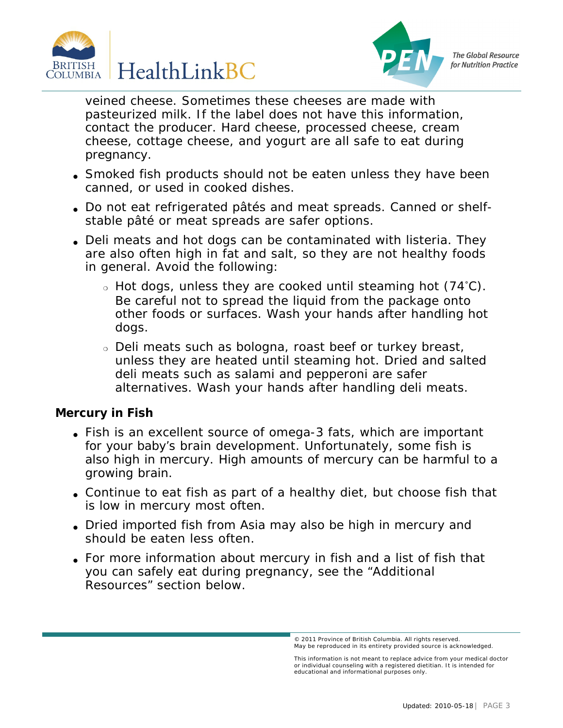



veined cheese. Sometimes these cheeses are made with pasteurized milk. If the label does not have this information, contact the producer. Hard cheese, processed cheese, cream cheese, cottage cheese, and yogurt are all safe to eat during pregnancy.

- Smoked fish products should not be eaten unless they have been canned, or used in cooked dishes.
- Do not eat refrigerated pâtés and meat spreads. Canned or shelfstable pâté or meat spreads are safer options.
- Deli meats and hot dogs can be contaminated with listeria. They are also often high in fat and salt, so they are not healthy foods in general. Avoid the following:
	- ❍ Hot dogs, unless they are cooked until steaming hot (74˚C). Be careful not to spread the liquid from the package onto other foods or surfaces. Wash your hands after handling hot dogs.
	- ❍ Deli meats such as bologna, roast beef or turkey breast, unless they are heated until steaming hot. Dried and salted deli meats such as salami and pepperoni are safer alternatives. Wash your hands after handling deli meats.

**Mercury in Fish**

- Fish is an excellent source of omega-3 fats, which are important for your baby's brain development. Unfortunately, some fish is also high in mercury. High amounts of mercury can be harmful to a growing brain.
- Continue to eat fish as part of a healthy diet, but choose fish that is low in mercury most often.
- Dried imported fish from Asia may also be high in mercury and should be eaten less often.
- For more information about mercury in fish and a list of fish that you can safely eat during pregnancy, see the "Additional Resources" section below.

<sup>© 2011</sup> Province of British Columbia. All rights reserved. May be reproduced in its entirety provided source is acknowledged.<br>.

This information is not meant to replace advice from your medical doctor<br>or individual counseling with a registered dietitian. It is intended for educational and informational purposes only.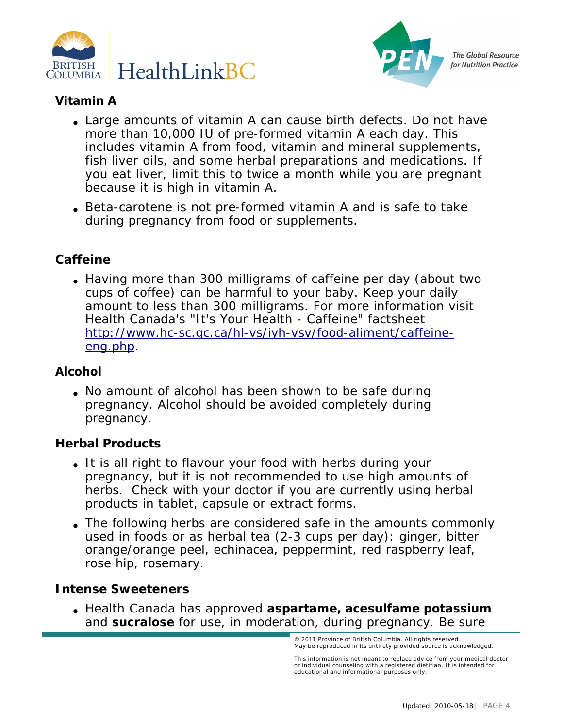



# **Vitamin A**

- Large amounts of vitamin A can cause birth defects. Do not have more than 10,000 IU of pre-formed vitamin A each day. This includes vitamin A from food, vitamin and mineral supplements, fish liver oils, and some herbal preparations and medications. If you eat liver, limit this to twice a month while you are pregnant because it is high in vitamin A.
- Beta-carotene is not pre-formed vitamin A and is safe to take during pregnancy from food or supplements.

#### **Caffeine**

• Having more than 300 milligrams of caffeine per day (about two cups of coffee) can be harmful to your baby. Keep your daily amount to less than 300 milligrams. For more information visit Health Canada's "It's Your Health - Caffeine" factsheet . [http://www.hc-sc.gc.ca/hl-vs/iyh-vsv/food-aliment/caffeine](http://www.hc-sc.gc.ca/hl-vs/iyh-vsv/food-aliment/caffeine-eng.php)[eng.php](http://www.hc-sc.gc.ca/hl-vs/iyh-vsv/food-aliment/caffeine-eng.php).

#### **Alcohol**

• No amount of alcohol has been shown to be safe during pregnancy. Alcohol should be avoided completely during pregnancy.

## **Herbal Products**

- It is all right to flavour your food with herbs during your pregnancy, but it is not recommended to use high amounts of herbs. Check with your doctor if you are currently using herbal products in tablet, capsule or extract forms.
- The following herbs are considered safe in the amounts commonly used in foods or as herbal tea (2-3 cups per day): ginger, bitter orange/orange peel, echinacea, peppermint, red raspberry leaf, rose hip, rosemary.

**Intense Sweeteners**

● Health Canada has approved **aspartame, acesulfame potassium** and **sucralose** for use, in moderation, during pregnancy. Be sure

This information is not meant to replace advice from your medical doctor<br>or individual counseling with a registered dietitian. It is intended for educational and informational purposes only.

<sup>© 2011</sup> Province of British Columbia. All rights reserved. May be reproduced in its entirety provided source is acknowledged.<br>.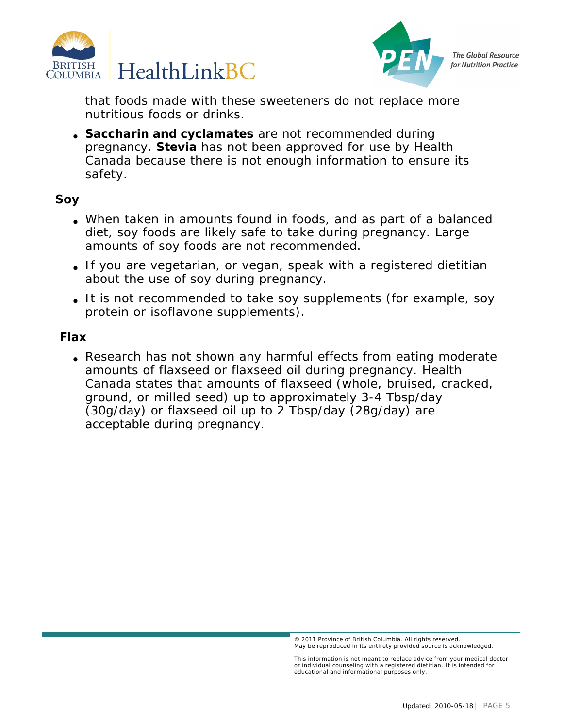



that foods made with these sweeteners do not replace more nutritious foods or drinks.

• Saccharin and cyclamates are not recommended during pregnancy. **Stevia** has not been approved for use by Health Canada because there is not enough information to ensure its safety.

**Soy**

- When taken in amounts found in foods, and as part of a balanced diet, soy foods are likely safe to take during pregnancy. Large amounts of soy foods are not recommended.
- If you are vegetarian, or vegan, speak with a registered dietitian about the use of soy during pregnancy.
- It is not recommended to take soy supplements (for example, soy protein or isoflavone supplements).

**Flax**

• Research has not shown any harmful effects from eating moderate amounts of flaxseed or flaxseed oil during pregnancy. Health Canada states that amounts of flaxseed (whole, bruised, cracked, ground, or milled seed) up to approximately 3-4 Tbsp/day (30g/day) or flaxseed oil up to 2 Tbsp/day (28g/day) are acceptable during pregnancy.

<sup>© 2011</sup> Province of British Columbia. All rights reserved. May be reproduced in its entirety provided source is acknowledged.<br>.

This information is not meant to replace advice from your medical doctor<br>or individual counseling with a registered dietitian. It is intended for educational and informational purposes only.